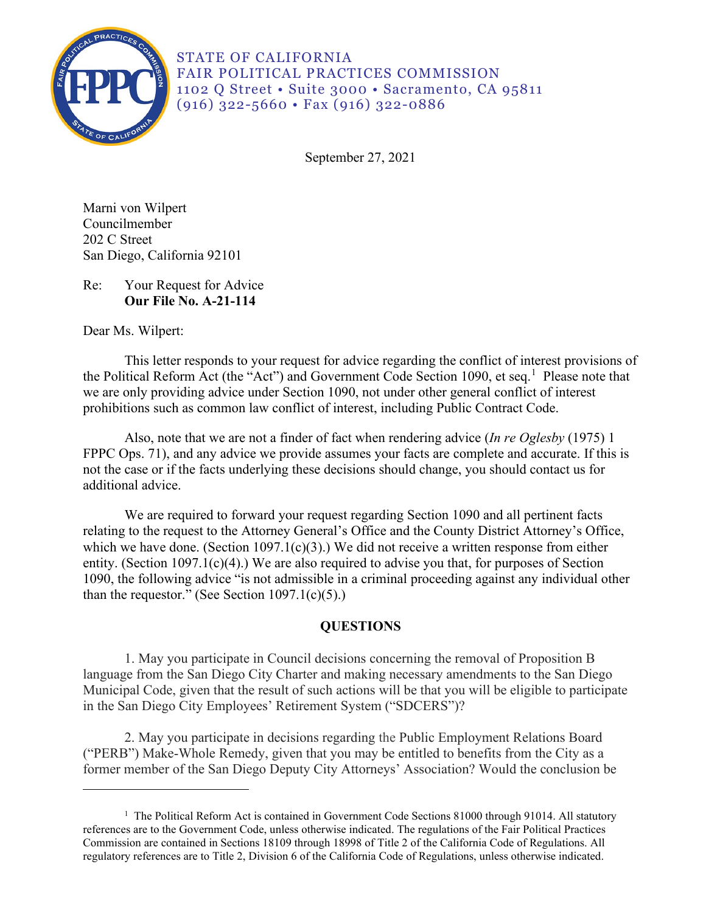

STATE OF CALIFORNIA FAIR POLITICAL PRACTICES COMMISSION 1102 Q Street • Suite 3000 • Sacramento, CA 95811 (916) 322-5660 • Fax (916) 322-0886

September 27, 2021

Marni von Wilpert Councilmember 202 C Street San Diego, California 92101

Re: Your Request for Advice **Our File No. A-21-114** 

Dear Ms. Wilpert:

the Political Reform Act (the "Act") and Government Code Section [1](#page-0-0)090, et seq.<sup>1</sup> Please note that This letter responds to your request for advice regarding the conflict of interest provisions of we are only providing advice under Section 1090, not under other general conflict of interest prohibitions such as common law conflict of interest, including Public Contract Code.

 FPPC Ops. 71), and any advice we provide assumes your facts are complete and accurate. If this is Also, note that we are not a finder of fact when rendering advice (*In re Oglesby* (1975) 1 not the case or if the facts underlying these decisions should change, you should contact us for additional advice.

 relating to the request to the Attorney General's Office and the County District Attorney's Office, We are required to forward your request regarding Section 1090 and all pertinent facts which we have done. (Section 1097.1(c)(3).) We did not receive a written response from either entity. (Section 1097.1(c)(4).) We are also required to advise you that, for purposes of Section 1090, the following advice "is not admissible in a criminal proceeding against any individual other than the requestor." (See Section  $1097.1(c)(5)$ .)

# **QUESTIONS**

1. May you participate in Council decisions concerning the removal of Proposition B language from the San Diego City Charter and making necessary amendments to the San Diego Municipal Code, given that the result of such actions will be that you will be eligible to participate in the San Diego City Employees' Retirement System ("SDCERS")?

2. May you participate in decisions regarding the Public Employment Relations Board ("PERB") Make-Whole Remedy, given that you may be entitled to benefits from the City as a former member of the San Diego Deputy City Attorneys' Association? Would the conclusion be

<span id="page-0-0"></span><sup>&</sup>lt;sup>1</sup> The Political Reform Act is contained in Government Code Sections 81000 through 91014. All statutory references are to the Government Code, unless otherwise indicated. The regulations of the Fair Political Practices Commission are contained in Sections 18109 through 18998 of Title 2 of the California Code of Regulations. All regulatory references are to Title 2, Division 6 of the California Code of Regulations, unless otherwise indicated.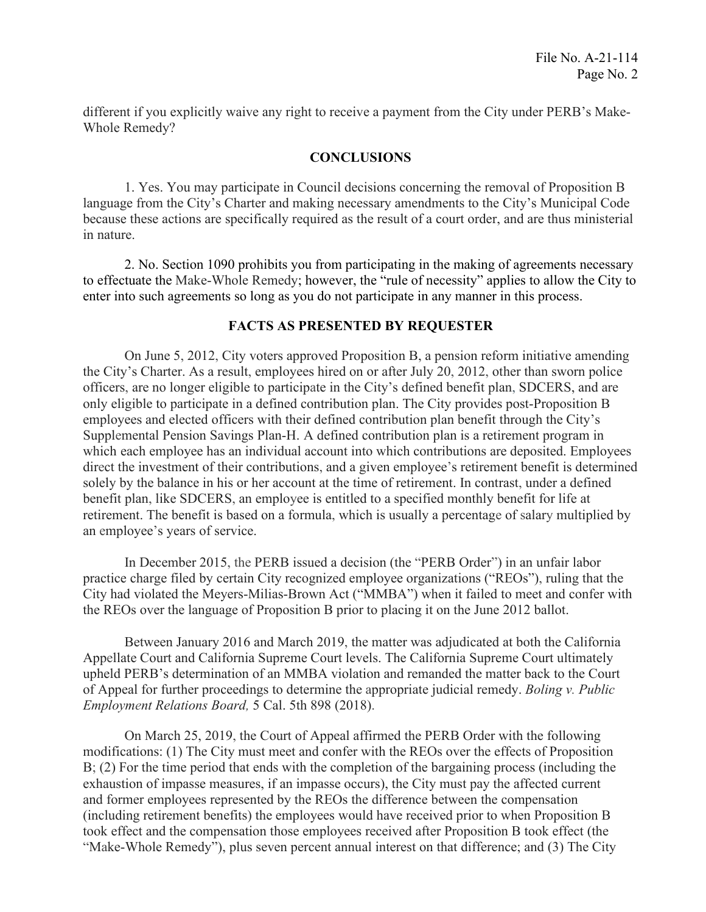different if you explicitly waive any right to receive a payment from the City under PERB's Make-Whole Remedy?

# **CONCLUSIONS**

1. Yes. You may participate in Council decisions concerning the removal of Proposition B language from the City's Charter and making necessary amendments to the City's Municipal Code because these actions are specifically required as the result of a court order, and are thus ministerial in nature.

2. No. Section 1090 prohibits you from participating in the making of agreements necessary to effectuate the Make-Whole Remedy; however, the "rule of necessity" applies to allow the City to enter into such agreements so long as you do not participate in any manner in this process.

# **FACTS AS PRESENTED BY REQUESTER**

On June 5, 2012, City voters approved Proposition B, a pension reform initiative amending the City's Charter. As a result, employees hired on or after July 20, 2012, other than sworn police officers, are no longer eligible to participate in the City's defined benefit plan, SDCERS, and are only eligible to participate in a defined contribution plan. The City provides post-Proposition B employees and elected officers with their defined contribution plan benefit through the City's Supplemental Pension Savings Plan-H. A defined contribution plan is a retirement program in which each employee has an individual account into which contributions are deposited. Employees direct the investment of their contributions, and a given employee's retirement benefit is determined solely by the balance in his or her account at the time of retirement. In contrast, under a defined benefit plan, like SDCERS, an employee is entitled to a specified monthly benefit for life at retirement. The benefit is based on a formula, which is usually a percentage of salary multiplied by an employee's years of service.

In December 2015, the PERB issued a decision (the "PERB Order") in an unfair labor practice charge filed by certain City recognized employee organizations ("REOs"), ruling that the City had violated the Meyers-Milias-Brown Act ("MMBA") when it failed to meet and confer with the REOs over the language of Proposition B prior to placing it on the June 2012 ballot.

 Between January 2016 and March 2019, the matter was adjudicated at both the California Appellate Court and California Supreme Court levels. The California Supreme Court ultimately upheld PERB's determination of an MMBA violation and remanded the matter back to the Court of Appeal for further proceedings to determine the appropriate judicial remedy. *Boling v. Public Employment Relations Board,* 5 Cal. 5th 898 (2018).

 "Make-Whole Remedy"), plus seven percent annual interest on that difference; and (3) The City On March 25, 2019, the Court of Appeal affirmed the PERB Order with the following modifications: (1) The City must meet and confer with the REOs over the effects of Proposition B; (2) For the time period that ends with the completion of the bargaining process (including the exhaustion of impasse measures, if an impasse occurs), the City must pay the affected current and former employees represented by the REOs the difference between the compensation (including retirement benefits) the employees would have received prior to when Proposition B took effect and the compensation those employees received after Proposition B took effect (the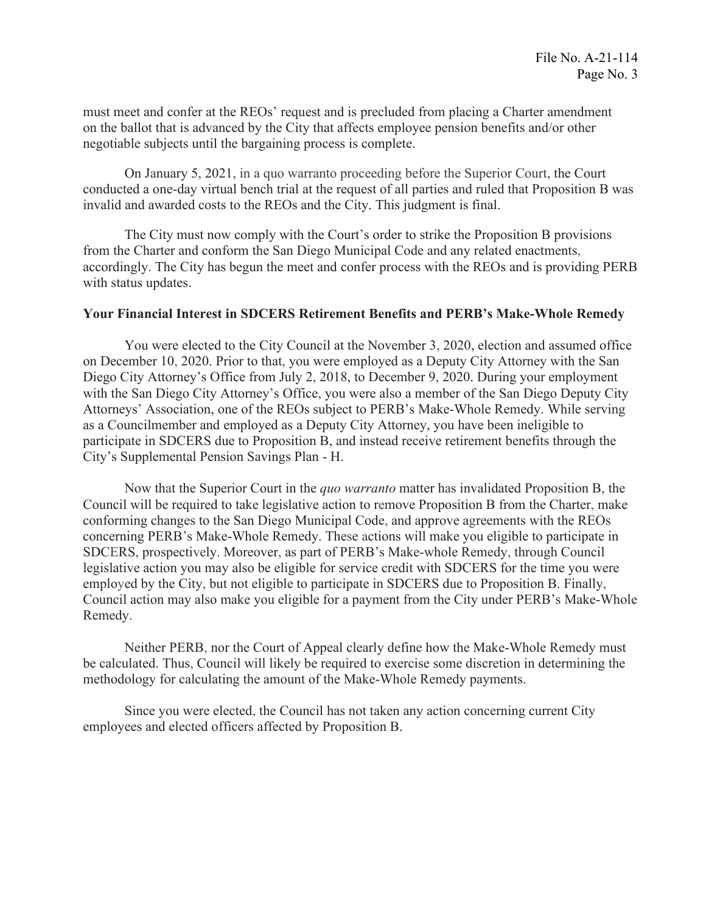must meet and confer at the REOs' request and is precluded from placing a Charter amendment on the ballot that is advanced by the City that affects employee pension benefits and/or other negotiable subjects until the bargaining process is complete.

 conducted a one-day virtual bench trial at the request of all parties and ruled that Proposition B was On January 5, 2021, in a quo warranto proceeding before the Superior Court, the Court invalid and awarded costs to the REOs and the City. This judgment is final.

The City must now comply with the Court's order to strike the Proposition B provisions from the Charter and conform the San Diego Municipal Code and any related enactments, accordingly. The City has begun the meet and confer process with the REOs and is providing PERB with status updates.

### **Your Financial Interest in SDCERS Retirement Benefits and PERB's Make-Whole Remedy**

You were elected to the City Council at the November 3, 2020, election and assumed office on December 10, 2020. Prior to that, you were employed as a Deputy City Attorney with the San Diego City Attorney's Office from July 2, 2018, to December 9, 2020. During your employment with the San Diego City Attorney's Office, you were also a member of the San Diego Deputy City Attorneys' Association, one of the REOs subject to PERB's Make-Whole Remedy. While serving as a Councilmember and employed as a Deputy City Attorney, you have been ineligible to participate in SDCERS due to Proposition B, and instead receive retirement benefits through the City's Supplemental Pension Savings Plan - H.

 legislative action you may also be eligible for service credit with SDCERS for the time you were Now that the Superior Court in the *quo warranto* matter has invalidated Proposition B, the Council will be required to take legislative action to remove Proposition B from the Charter, make conforming changes to the San Diego Municipal Code, and approve agreements with the REOs concerning PERB's Make-Whole Remedy. These actions will make you eligible to participate in SDCERS, prospectively. Moreover, as part of PERB's Make-whole Remedy, through Council employed by the City, but not eligible to participate in SDCERS due to Proposition B. Finally, Council action may also make you eligible for a payment from the City under PERB's Make-Whole Remedy.

Neither PERB, nor the Court of Appeal clearly define how the Make-Whole Remedy must be calculated. Thus, Council will likely be required to exercise some discretion in determining the methodology for calculating the amount of the Make-Whole Remedy payments.

Since you were elected, the Council has not taken any action concerning current City employees and elected officers affected by Proposition B.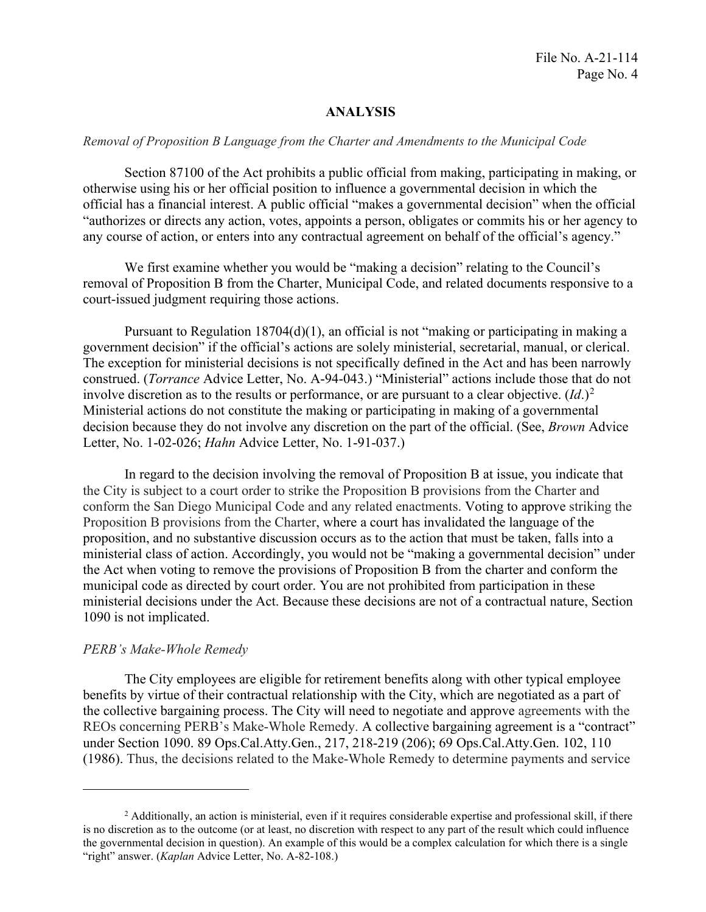# **ANALYSIS**

#### *Removal of Proposition B Language from the Charter and Amendments to the Municipal Code*

Section 87100 of the Act prohibits a public official from making, participating in making, or otherwise using his or her official position to influence a governmental decision in which the official has a financial interest. A public official "makes a governmental decision" when the official "authorizes or directs any action, votes, appoints a person, obligates or commits his or her agency to any course of action, or enters into any contractual agreement on behalf of the official's agency."

We first examine whether you would be "making a decision" relating to the Council's removal of Proposition B from the Charter, Municipal Code, and related documents responsive to a court-issued judgment requiring those actions.

Pursuant to Regulation  $18704(d)(1)$ , an official is not "making or participating in making a government decision" if the official's actions are solely ministerial, secretarial, manual, or clerical. The exception for ministerial decisions is not specifically defined in the Act and has been narrowly construed. (*Torrance* Advice Letter, No. A-94-043.) "Ministerial" actions include those that do not involve discretion as to the results or performance, or are pursuant to a clear objective.  $(Id.)^2$ Ministerial actions do not constitute the making or participating in making of a governmental decision because they do not involve any discretion on the part of the official. (See, *Brown* Advice Letter, No. 1-02-026; *Hahn* Advice Letter, No. 1-91-037.)

 Proposition B provisions from the Charter, where a court has invalidated the language of the In regard to the decision involving the removal of Proposition B at issue, you indicate that the City is subject to a court order to strike the Proposition B provisions from the Charter and conform the San Diego Municipal Code and any related enactments. Voting to approve striking the proposition, and no substantive discussion occurs as to the action that must be taken, falls into a ministerial class of action. Accordingly, you would not be "making a governmental decision" under the Act when voting to remove the provisions of Proposition B from the charter and conform the municipal code as directed by court order. You are not prohibited from participation in these ministerial decisions under the Act. Because these decisions are not of a contractual nature, Section 1090 is not implicated.

### *PERB's Make-Whole Remedy*

The City employees are eligible for retirement benefits along with other typical employee benefits by virtue of their contractual relationship with the City, which are negotiated as a part of the collective bargaining process. The City will need to negotiate and approve agreements with the REOs concerning PERB's Make-Whole Remedy. A collective bargaining agreement is a "contract" under Section 1090. 89 Ops.Cal.Atty.Gen., 217, 218-219 (206); 69 Ops.Cal.Atty.Gen. 102, 110 (1986). Thus, the decisions related to the Make-Whole Remedy to determine payments and service

<span id="page-3-0"></span> the governmental decision in question). An example of this would be a complex calculation for which there is a single <sup>2</sup> Additionally, an action is ministerial, even if it requires considerable expertise and professional skill, if there is no discretion as to the outcome (or at least, no discretion with respect to any part of the result which could influence "right" answer. (*Kaplan* Advice Letter, No. A-82-108.)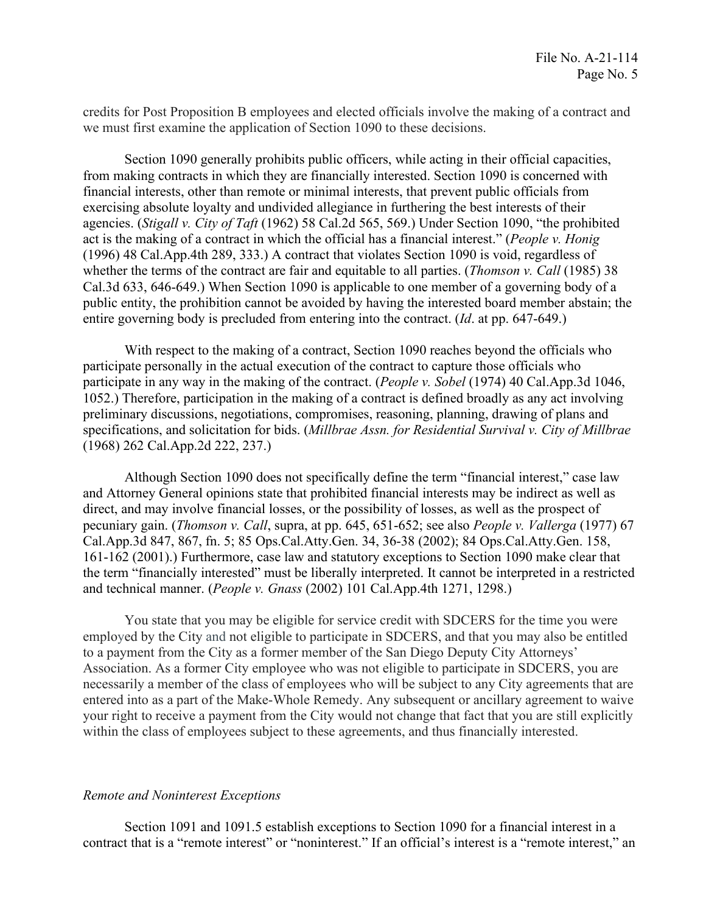credits for Post Proposition B employees and elected officials involve the making of a contract and we must first examine the application of Section 1090 to these decisions.

 public entity, the prohibition cannot be avoided by having the interested board member abstain; the entire governing body is precluded from entering into the contract. (*Id.* at pp. 647-649.) Section 1090 generally prohibits public officers, while acting in their official capacities, from making contracts in which they are financially interested. Section 1090 is concerned with financial interests, other than remote or minimal interests, that prevent public officials from exercising absolute loyalty and undivided allegiance in furthering the best interests of their agencies. (*Stigall v. City of Taft* (1962) 58 Cal.2d 565, 569.) Under Section 1090, "the prohibited act is the making of a contract in which the official has a financial interest." (*People v. Honig*  (1996) 48 Cal.App.4th 289, 333.) A contract that violates Section 1090 is void, regardless of whether the terms of the contract are fair and equitable to all parties. (*Thomson v. Call* (1985) 38 Cal.3d 633, 646-649.) When Section 1090 is applicable to one member of a governing body of a

 $(1968)$  262 Cal.App.2d 222, 237.) With respect to the making of a contract. Section 1090 reaches beyond the officials who participate personally in the actual execution of the contract to capture those officials who participate in any way in the making of the contract. (*People v. Sobel* (1974) 40 [Cal.App.3d](https://Cal.App.3d) 1046, 1052.) Therefore, participation in the making of a contract is defined broadly as any act involving preliminary discussions, negotiations, compromises, reasoning, planning, drawing of plans and specifications, and solicitation for bids. (*Millbrae Assn. for Residential Survival v. City of Millbrae* 

 the term "financially interested" must be liberally interpreted. It cannot be interpreted in a restricted and technical manner. (People v. Gnass (2002) 101 Cal.App.4th 1271, 1298.) Although Section 1090 does not specifically define the term "financial interest," case law and Attorney General opinions state that prohibited financial interests may be indirect as well as direct, and may involve financial losses, or the possibility of losses, as well as the prospect of pecuniary gain. (*Thomson v. Call*, supra, at pp. 645, 651-652; see also *People v. Vallerga* (1977) 67 [Cal.App.3d](https://Cal.App.3d) 847, 867, fn. 5; 85 Ops.Cal.Atty.Gen. 34, 36-38 (2002); 84 Ops.Cal.Atty.Gen. 158, 161-162 (2001).) Furthermore, case law and statutory exceptions to Section 1090 make clear that

You state that you may be eligible for service credit with SDCERS for the time you were employed by the City and not eligible to participate in SDCERS, and that you may also be entitled to a payment from the City as a former member of the San Diego Deputy City Attorneys' Association. As a former City employee who was not eligible to participate in SDCERS, you are necessarily a member of the class of employees who will be subject to any City agreements that are entered into as a part of the Make-Whole Remedy. Any subsequent or ancillary agreement to waive your right to receive a payment from the City would not change that fact that you are still explicitly within the class of employees subject to these agreements, and thus financially interested.

### *Remote and Noninterest Exceptions*

Section 1091 and 1091.5 establish exceptions to Section 1090 for a financial interest in a contract that is a "remote interest" or "noninterest." If an official's interest is a "remote interest," an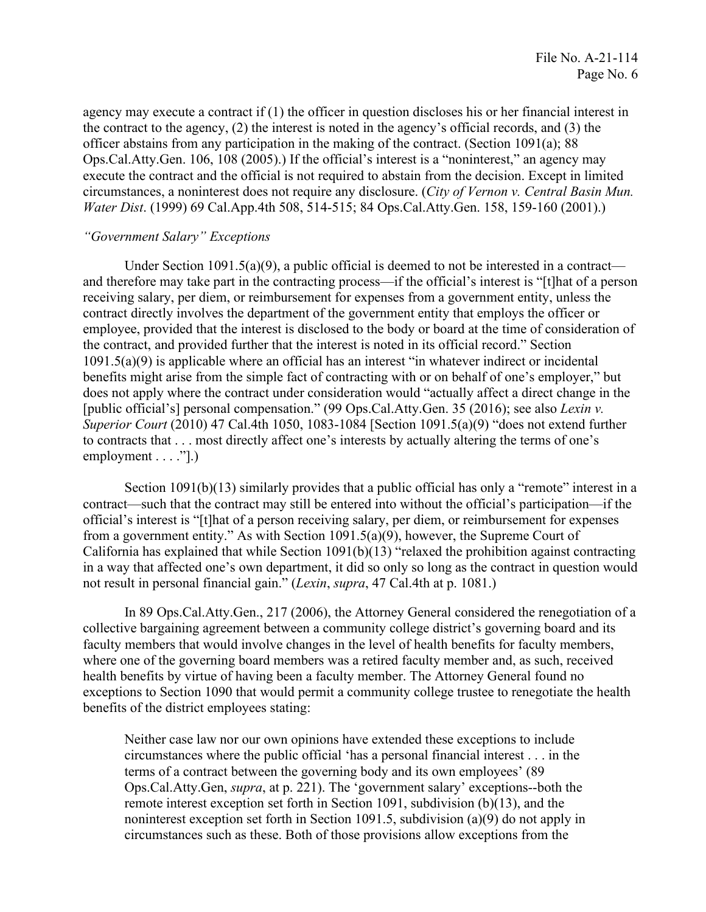agency may execute a contract if (1) the officer in question discloses his or her financial interest in the contract to the agency, (2) the interest is noted in the agency's official records, and (3) the officer abstains from any participation in the making of the contract. (Section 1091(a); 88 Ops.Cal.Atty.Gen. 106, 108 (2005).) If the official's interest is a "noninterest," an agency may execute the contract and the official is not required to abstain from the decision. Except in limited circumstances, a noninterest does not require any disclosure. (*City of Vernon v. Central Basin Mun. Water Dist*. (1999) 69 Cal.App.4th 508, 514-515; 84 Ops.Cal.Atty.Gen. 158, 159-160 (2001).)

# *"Government Salary" Exceptions*

Under Section  $1091.5(a)(9)$ , a public official is deemed to not be interested in a contract and therefore may take part in the contracting process—if the official's interest is "[t]hat of a person receiving salary, per diem, or reimbursement for expenses from a government entity, unless the contract directly involves the department of the government entity that employs the officer or employee, provided that the interest is disclosed to the body or board at the time of consideration of the contract, and provided further that the interest is noted in its official record." Section 1091.5(a)(9) is applicable where an official has an interest "in whatever indirect or incidental benefits might arise from the simple fact of contracting with or on behalf of one's employer," but does not apply where the contract under consideration would "actually affect a direct change in the [public official's] personal compensation." (99 Ops.Cal.Atty.Gen. 35 (2016); see also *Lexin v. Superior Court* (2010) 47 Cal.4th 1050, 1083-1084 [Section 1091.5(a)(9) "does not extend further to contracts that . . . most directly affect one's interests by actually altering the terms of one's employment  $\dots$  ."].)

 official's interest is "[t]hat of a person receiving salary, per diem, or reimbursement for expenses not result in personal financial gain." (Lexin, supra, 47 Cal.4th at p. 1081.) Section 1091(b)(13) similarly provides that a public official has only a "remote" interest in a contract—such that the contract may still be entered into without the official's participation—if the from a government entity." As with Section 1091.5(a)(9), however, the Supreme Court of California has explained that while Section 1091(b)(13) "relaxed the prohibition against contracting in a way that affected one's own department, it did so only so long as the contract in question would

 where one of the governing board members was a retired faculty member and, as such, received In 89 Ops.Cal.Atty.Gen., 217 (2006), the Attorney General considered the renegotiation of a collective bargaining agreement between a community college district's governing board and its faculty members that would involve changes in the level of health benefits for faculty members, health benefits by virtue of having been a faculty member. The Attorney General found no exceptions to Section 1090 that would permit a community college trustee to renegotiate the health benefits of the district employees stating:

Neither case law nor our own opinions have extended these exceptions to include circumstances where the public official 'has a personal financial interest . . . in the terms of a contract between the governing body and its own employees' (89 Ops.Cal.Atty.Gen, *supra*, at p. 221). The 'government salary' exceptions--both the remote interest exception set forth in Section 1091, subdivision (b)(13), and the noninterest exception set forth in Section 1091.5, subdivision (a)(9) do not apply in circumstances such as these. Both of those provisions allow exceptions from the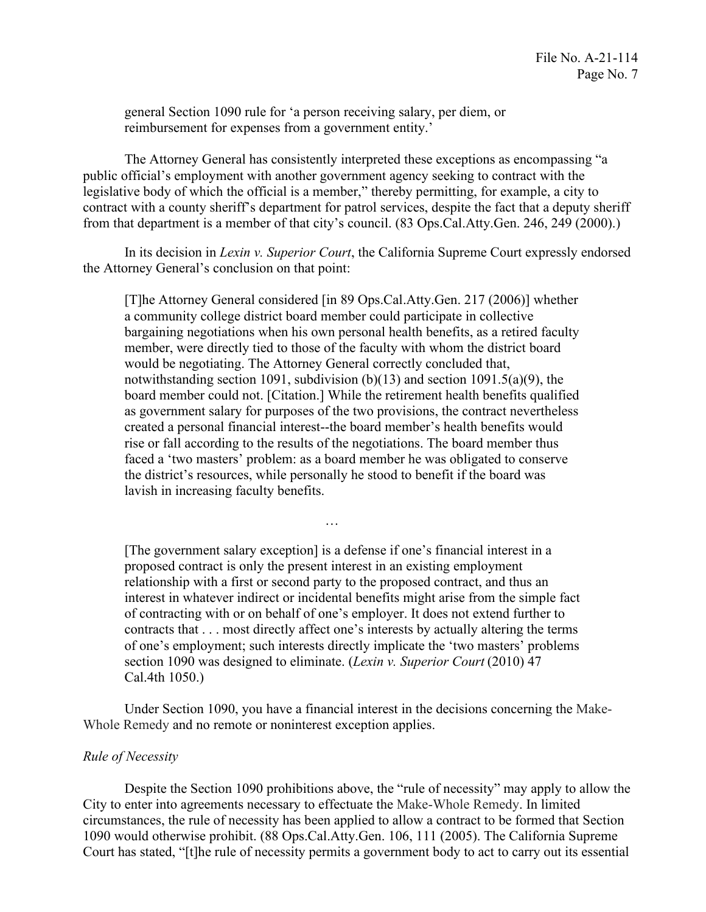reimbursement for expenses from a government entity.' general Section 1090 rule for 'a person receiving salary, per diem, or

 legislative body of which the official is a member," thereby permitting, for example, a city to The Attorney General has consistently interpreted these exceptions as encompassing "a public official's employment with another government agency seeking to contract with the contract with a county sheriff's department for patrol services, despite the fact that a deputy sheriff from that department is a member of that city's council. (83 Ops.Cal.Atty.Gen. 246, 249 (2000).)

In its decision in *Lexin v. Superior Court*, the California Supreme Court expressly endorsed the Attorney General's conclusion on that point:

[T]he Attorney General considered [in 89 Ops.Cal.Atty.Gen. 217 (2006)] whether a community college district board member could participate in collective bargaining negotiations when his own personal health benefits, as a retired faculty member, were directly tied to those of the faculty with whom the district board would be negotiating. The Attorney General correctly concluded that, notwithstanding section 1091, subdivision (b)(13) and section 1091.5(a)(9), the board member could not. [Citation.] While the retirement health benefits qualified as government salary for purposes of the two provisions, the contract nevertheless created a personal financial interest--the board member's health benefits would rise or fall according to the results of the negotiations. The board member thus faced a 'two masters' problem: as a board member he was obligated to conserve the district's resources, while personally he stood to benefit if the board was lavish in increasing faculty benefits.

[The government salary exception] is a defense if one's financial interest in a proposed contract is only the present interest in an existing employment relationship with a first or second party to the proposed contract, and thus an interest in whatever indirect or incidental benefits might arise from the simple fact of contracting with or on behalf of one's employer. It does not extend further to contracts that . . . most directly affect one's interests by actually altering the terms of one's employment; such interests directly implicate the 'two masters' problems section 1090 was designed to eliminate. (*Lexin v. Superior Court* (2010) 47 Cal.4th 1050.)

…

Under Section 1090, you have a financial interest in the decisions concerning the Make-Whole Remedy and no remote or noninterest exception applies.

### *Rule of Necessity*

Despite the Section 1090 prohibitions above, the "rule of necessity" may apply to allow the City to enter into agreements necessary to effectuate the Make-Whole Remedy. In limited circumstances, the rule of necessity has been applied to allow a contract to be formed that Section 1090 would otherwise prohibit. (88 Ops.Cal.Atty.Gen. 106, 111 (2005). The California Supreme Court has stated, "[t]he rule of necessity permits a government body to act to carry out its essential